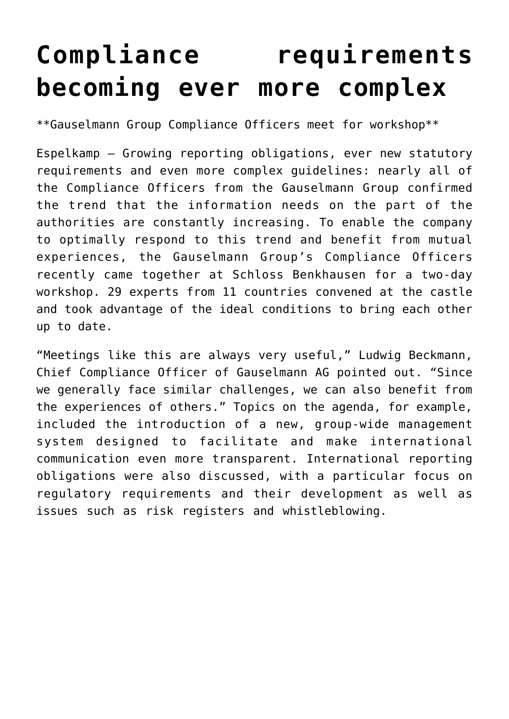## **[Compliance requirements](https://www.isa-guide.de/english-news/articles/268583.html) [becoming ever more complex](https://www.isa-guide.de/english-news/articles/268583.html)**

\*\*Gauselmann Group Compliance Officers meet for workshop\*\*

Espelkamp – Growing reporting obligations, ever new statutory requirements and even more complex guidelines: nearly all of the Compliance Officers from the Gauselmann Group confirmed the trend that the information needs on the part of the authorities are constantly increasing. To enable the company to optimally respond to this trend and benefit from mutual experiences, the Gauselmann Group's Compliance Officers recently came together at Schloss Benkhausen for a two-day workshop. 29 experts from 11 countries convened at the castle and took advantage of the ideal conditions to bring each other up to date.

"Meetings like this are always very useful," Ludwig Beckmann, Chief Compliance Officer of Gauselmann AG pointed out. "Since we generally face similar challenges, we can also benefit from the experiences of others." Topics on the agenda, for example, included the introduction of a new, group-wide management system designed to facilitate and make international communication even more transparent. International reporting obligations were also discussed, with a particular focus on regulatory requirements and their development as well as issues such as risk registers and whistleblowing.